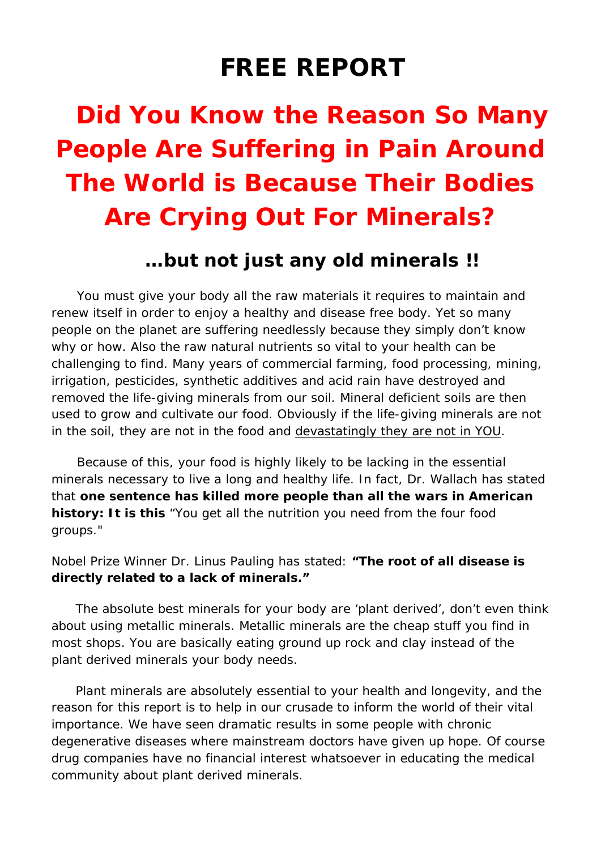# **FREE REPORT**

# **Did You Know the Reason So Many People Are Suffering in Pain Around The World is Because Their Bodies Are Crying Out For Minerals?**

# **…but not just any old minerals !!**

 You must give your body all the raw materials it requires to maintain and renew itself in order to enjoy a healthy and disease free body. Yet so many people on the planet are suffering needlessly because they simply don't know why or how. Also the raw natural nutrients so vital to your health can be challenging to find. Many years of commercial farming, food processing, mining, irrigation, pesticides, synthetic additives and acid rain have destroyed and removed the life-giving minerals from our soil. Mineral deficient soils are then used to grow and cultivate our food. Obviously if the life-giving minerals are not in the soil, they are not in the food and devastatingly they are not in YOU.

 Because of this, your food is highly likely to be lacking in the essential minerals necessary to live a long and healthy life. In fact, Dr. Wallach has stated that **one sentence has killed more people than all the wars in American history: It is this** *"You get all the nutrition you need from the four food groups."*

#### Nobel Prize Winner Dr. Linus Pauling has stated: *"The root of all disease is directly related to a lack of minerals."*

The absolute best minerals for your body are 'plant derived', don't even think about using metallic minerals. Metallic minerals are the cheap stuff you find in most shops. You are basically eating ground up rock and clay instead of the plant derived minerals your body needs.

Plant minerals are absolutely essential to your health and longevity, and the reason for this report is to help in our crusade to inform the world of their vital importance. We have seen dramatic results in some people with chronic degenerative diseases where mainstream doctors have given up hope. Of course drug companies have no financial interest whatsoever in educating the medical community about plant derived minerals.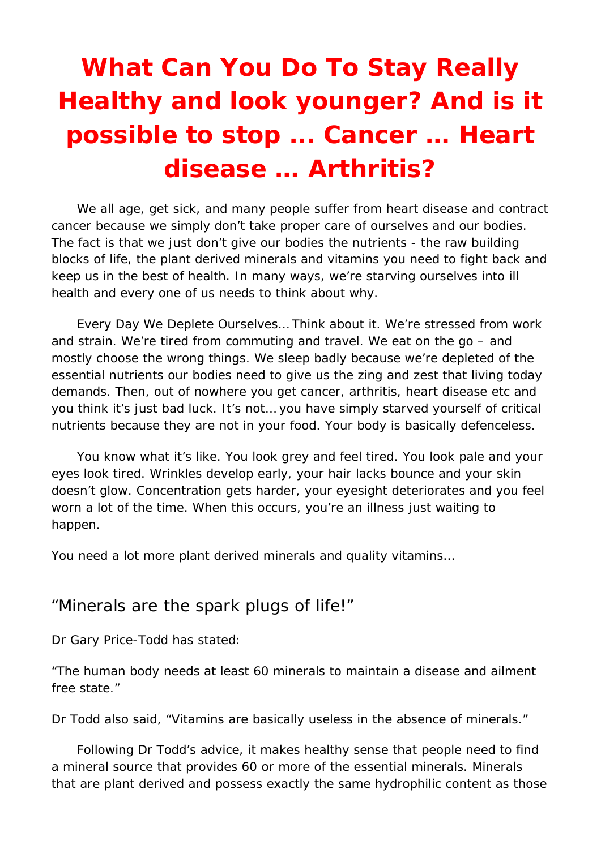# **What Can You Do To Stay Really Healthy and look younger? And is it possible to stop ... Cancer … Heart disease … Arthritis?**

 We all age, get sick, and many people suffer from heart disease and contract cancer because we simply don't take proper care of ourselves and our bodies. The fact is that we just don't give our bodies the nutrients - the raw building blocks of life, the plant derived minerals and vitamins you need to fight back and keep us in the best of health. In many ways, we're starving ourselves into ill health and every one of us needs to think about why.

 Every Day We Deplete Ourselves… Think about it. We're stressed from work and strain. We're tired from commuting and travel. We eat on the go – and mostly choose the wrong things. We sleep badly because we're depleted of the essential nutrients our bodies need to give us the zing and zest that living today demands. Then, out of nowhere you get cancer, arthritis, heart disease etc and you think it's just bad luck. It's not… you have simply starved yourself of critical nutrients because they are not in your food. Your body is basically defenceless.

 You know what it's like. You look grey and feel tired. You look pale and your eyes look tired. Wrinkles develop early, your hair lacks bounce and your skin doesn't glow. Concentration gets harder, your eyesight deteriorates and you feel worn a lot of the time. When this occurs, you're an illness just waiting to happen.

You need a lot more plant derived minerals and quality vitamins…

### "Minerals are the spark plugs of life!"

Dr Gary Price-Todd has stated:

*"The human body needs at least 60 minerals to maintain a disease and ailment free state."*

Dr Todd also said, *"Vitamins are basically useless in the absence of minerals."*

 Following Dr Todd's advice, it makes healthy sense that people need to find a mineral source that provides 60 or more of the essential minerals. Minerals that are plant derived and possess exactly the same hydrophilic content as those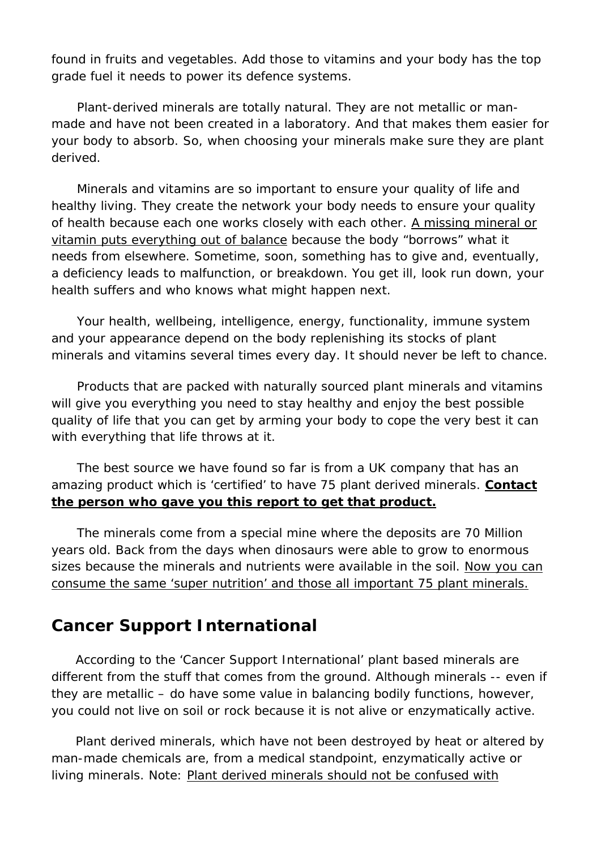found in fruits and vegetables. Add those to vitamins and your body has the top grade fuel it needs to power its defence systems.

 Plant-derived minerals are totally natural. They are not metallic or manmade and have not been created in a laboratory. And that makes them easier for your body to absorb. So, when choosing your minerals make sure they are plant derived.

 Minerals and vitamins are so important to ensure your quality of life and healthy living. They create the network your body needs to ensure your quality of health because each one works closely with each other. A missing mineral or vitamin puts everything out of balance because the body "borrows" what it needs from elsewhere. Sometime, soon, something has to give and, eventually, a deficiency leads to malfunction, or breakdown. You get ill, look run down, your health suffers and who knows what might happen next.

 Your health, wellbeing, intelligence, energy, functionality, immune system and your appearance depend on the body replenishing its stocks of plant minerals and vitamins several times every day. It should never be left to chance.

 Products that are packed with naturally sourced plant minerals and vitamins will give you everything you need to stay healthy and enjoy the best possible quality of life that you can get by arming your body to cope the very best it can with everything that life throws at it.

 The best source we have found so far is from a UK company that has an amazing product which is 'certified' to have 75 plant derived minerals. **Contact the person who gave you this report to get that product.**

 The minerals come from a special mine where the deposits are 70 Million years old. Back from the days when dinosaurs were able to grow to enormous sizes because the minerals and nutrients were available in the soil. Now you can consume the same 'super nutrition' and those all important 75 plant minerals.

# **Cancer Support International**

According to the 'Cancer Support International' plant based minerals are different from the stuff that comes from the ground. Although minerals -- even if they are metallic – do have some value in balancing bodily functions, however, you could not live on soil or rock because it is not alive or enzymatically active.

Plant derived minerals, which have not been destroyed by heat or altered by man-made chemicals are, from a medical standpoint, enzymatically active or living minerals. *Note*: Plant derived minerals should not be confused with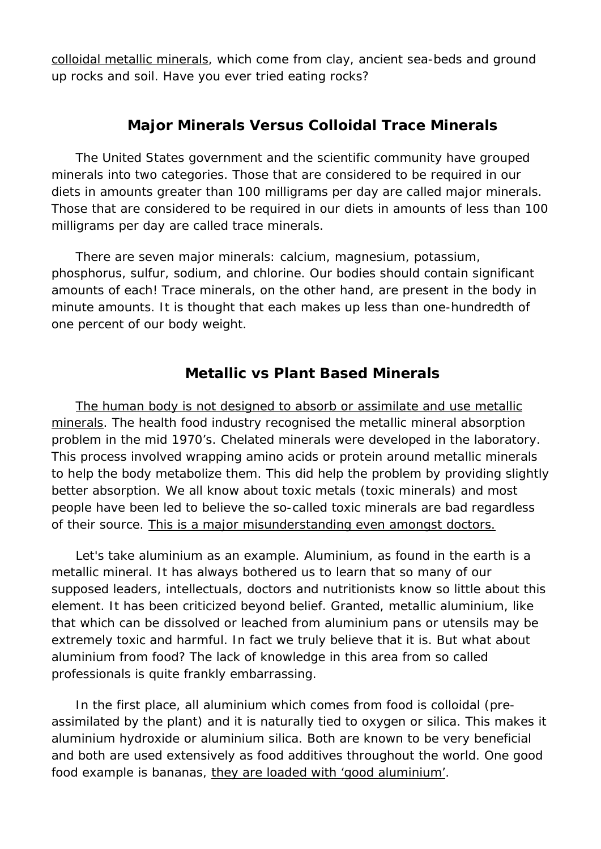colloidal metallic minerals, which come from clay, ancient sea-beds and ground up rocks and soil. Have you ever tried eating rocks?

## **Major Minerals Versus Colloidal Trace Minerals**

The United States government and the scientific community have grouped minerals into two categories. Those that are considered to be required in our diets in amounts greater than 100 milligrams per day are called major minerals. Those that are considered to be required in our diets in amounts of less than 100 milligrams per day are called trace minerals.

There are seven major minerals: calcium, magnesium, potassium, phosphorus, sulfur, sodium, and chlorine. Our bodies should contain significant amounts of each! Trace minerals, on the other hand, are present in the body in minute amounts. It is thought that each makes up less than one-hundredth of one percent of our body weight.

## **Metallic vs Plant Based Minerals**

The human body is not designed to absorb or assimilate and use metallic minerals. The health food industry recognised the metallic mineral absorption problem in the mid 1970's. Chelated minerals were developed in the laboratory. This process involved wrapping amino acids or protein around metallic minerals to help the body metabolize them. This did help the problem by providing slightly better absorption. We all know about toxic metals (toxic minerals) and most people have been led to believe the so-called toxic minerals are bad regardless of their source. This is a major misunderstanding even amongst doctors.

Let's take aluminium as an example. Aluminium, as found in the earth is a metallic mineral. It has always bothered us to learn that so many of our supposed leaders, intellectuals, doctors and nutritionists know so little about this element. It has been criticized beyond belief. Granted, metallic aluminium, like that which can be dissolved or leached from aluminium pans or utensils may be extremely toxic and harmful. In fact we truly believe that it is. But what about aluminium from food? The lack of knowledge in this area from so called professionals is quite frankly embarrassing.

In the first place, all aluminium which comes from food is colloidal (preassimilated by the plant) and it is naturally tied to oxygen or silica. This makes it aluminium hydroxide or aluminium silica. Both are known to be very beneficial and both are used extensively as food additives throughout the world. One good food example is bananas, they are loaded with 'good aluminium'.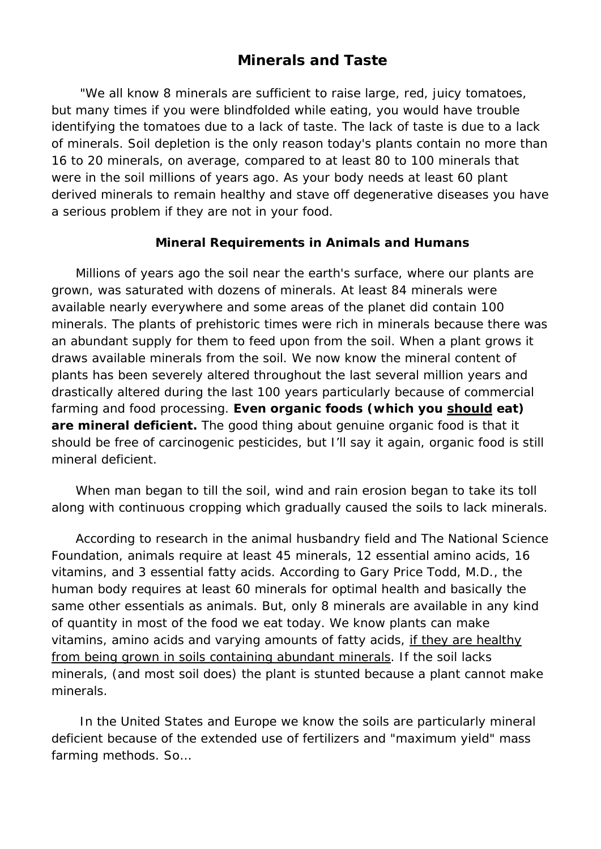#### **Minerals and Taste**

"We all know 8 minerals are sufficient to raise large, red, juicy tomatoes, but many times if you were blindfolded while eating, you would have trouble identifying the tomatoes due to a lack of taste. The lack of taste is due to a lack of minerals. Soil depletion is the only reason today's plants contain no more than 16 to 20 minerals, on average, compared to at least 80 to 100 minerals that were in the soil millions of years ago. As your body needs at least 60 plant derived minerals to remain healthy and stave off degenerative diseases you have a serious problem if they are not in your food.

#### **Mineral Requirements in Animals and Humans**

Millions of years ago the soil near the earth's surface, where our plants are grown, was saturated with dozens of minerals. At least 84 minerals were available nearly everywhere and some areas of the planet did contain 100 minerals. The plants of prehistoric times were rich in minerals because there was an abundant supply for them to feed upon from the soil. When a plant grows it draws available minerals from the soil. We now know the mineral content of plants has been severely altered throughout the last several million years and drastically altered during the last 100 years particularly because of commercial farming and food processing. **Even organic foods (which you should eat) are mineral deficient.** The good thing about genuine organic food is that it should be free of carcinogenic pesticides, but I'll say it again, organic food is still mineral deficient.

When man began to till the soil, wind and rain erosion began to take its toll along with continuous cropping which gradually caused the soils to lack minerals.

According to research in the animal husbandry field and The National Science Foundation, animals require at least 45 minerals, 12 essential amino acids, 16 vitamins, and 3 essential fatty acids. According to Gary Price Todd, M.D., the human body requires at least 60 minerals for optimal health and basically the same other essentials as animals. But, only 8 minerals are available in any kind of quantity in most of the food we eat today. We know plants can make vitamins, amino acids and varying amounts of fatty acids, if they are healthy from being grown in soils containing abundant minerals. If the soil lacks minerals, (and most soil does) the plant is stunted because a plant cannot make minerals.

In the United States and Europe we know the soils are particularly mineral deficient because of the extended use of fertilizers and "maximum yield" mass farming methods. So…